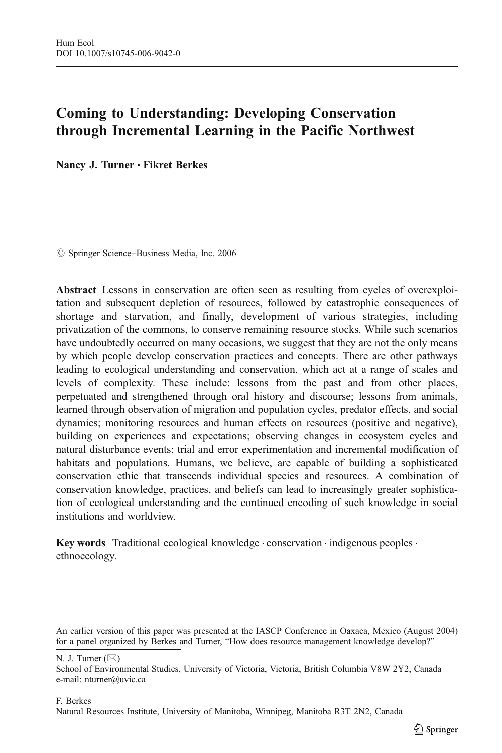# Coming to Understanding: Developing Conservation through Incremental Learning in the Pacific Northwest

Nancy J. Turner · Fikret Berkes

 $\oslash$  Springer Science+Business Media, Inc. 2006

Abstract Lessons in conservation are often seen as resulting from cycles of overexploitation and subsequent depletion of resources, followed by catastrophic consequences of shortage and starvation, and finally, development of various strategies, including privatization of the commons, to conserve remaining resource stocks. While such scenarios have undoubtedly occurred on many occasions, we suggest that they are not the only means by which people develop conservation practices and concepts. There are other pathways leading to ecological understanding and conservation, which act at a range of scales and levels of complexity. These include: lessons from the past and from other places, perpetuated and strengthened through oral history and discourse; lessons from animals, learned through observation of migration and population cycles, predator effects, and social dynamics; monitoring resources and human effects on resources (positive and negative), building on experiences and expectations; observing changes in ecosystem cycles and natural disturbance events; trial and error experimentation and incremental modification of habitats and populations. Humans, we believe, are capable of building a sophisticated conservation ethic that transcends individual species and resources. A combination of conservation knowledge, practices, and beliefs can lead to increasingly greater sophistication of ecological understanding and the continued encoding of such knowledge in social institutions and worldview.

Key words Traditional ecological knowledge · conservation · indigenous peoples · ethnoecology.

N. J. Turner  $(\boxtimes)$ 

An earlier version of this paper was presented at the IASCP Conference in Oaxaca, Mexico (August 2004) for a panel organized by Berkes and Turner, "How does resource management knowledge develop?"

School of Environmental Studies, University of Victoria, Victoria, British Columbia V8W 2Y2, Canada e-mail: nturner@uvic.ca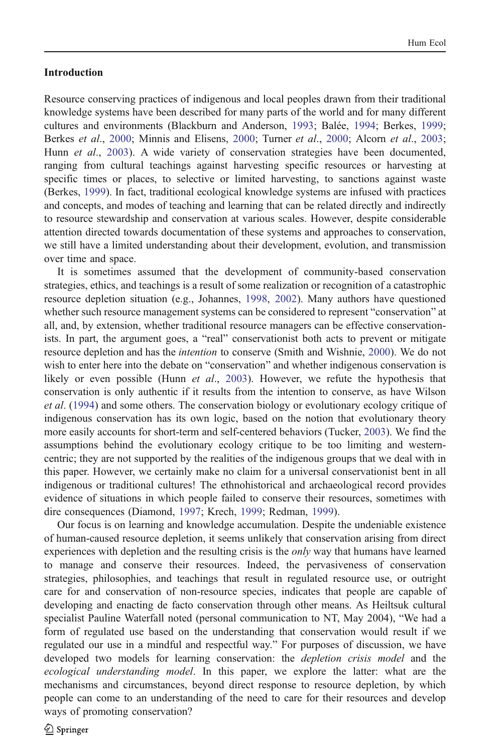### Introduction

Resource conserving practices of indigenous and local peoples drawn from their traditional knowledge systems have been described for many parts of the world and for many different cultures and environments (Blackburn and Anderson, [1993](#page-16-0); Balée, [1994](#page-16-0); Berkes, [1999](#page-16-0); Berkes et al., [2000](#page-17-0); Minnis and Elisens, [2000;](#page-18-0) Turner et al., 2000; Alcorn et al., [2003](#page-16-0); Hunn et al., [2003\)](#page-17-0). A wide variety of conservation strategies have been documented, ranging from cultural teachings against harvesting specific resources or harvesting at specific times or places, to selective or limited harvesting, to sanctions against waste (Berkes, [1999](#page-16-0)). In fact, traditional ecological knowledge systems are infused with practices and concepts, and modes of teaching and learning that can be related directly and indirectly to resource stewardship and conservation at various scales. However, despite considerable attention directed towards documentation of these systems and approaches to conservation, we still have a limited understanding about their development, evolution, and transmission over time and space.

It is sometimes assumed that the development of community-based conservation strategies, ethics, and teachings is a result of some realization or recognition of a catastrophic resource depletion situation (e.g., Johannes, [1998](#page-17-0), [2002\)](#page-17-0). Many authors have questioned whether such resource management systems can be considered to represent "conservation" at all, and, by extension, whether traditional resource managers can be effective conservationists. In part, the argument goes, a "real" conservationist both acts to prevent or mitigate resource depletion and has the intention to conserve (Smith and Wishnie, [2000\)](#page-17-0). We do not wish to enter here into the debate on "conservation" and whether indigenous conservation is likely or even possible (Hunn *et al.*, [2003](#page-17-0)). However, we refute the hypothesis that conservation is only authentic if it results from the intention to conserve, as have Wilson et al. ([1994](#page-18-0)) and some others. The conservation biology or evolutionary ecology critique of indigenous conservation has its own logic, based on the notion that evolutionary theory more easily accounts for short-term and self-centered behaviors (Tucker, [2003](#page-18-0)). We find the assumptions behind the evolutionary ecology critique to be too limiting and westerncentric; they are not supported by the realities of the indigenous groups that we deal with in this paper. However, we certainly make no claim for a universal conservationist bent in all indigenous or traditional cultures! The ethnohistorical and archaeological record provides evidence of situations in which people failed to conserve their resources, sometimes with dire consequences (Diamond, [1997;](#page-16-0) Krech, [1999;](#page-17-0) Redman, [1999](#page-17-0)).

Our focus is on learning and knowledge accumulation. Despite the undeniable existence of human-caused resource depletion, it seems unlikely that conservation arising from direct experiences with depletion and the resulting crisis is the *only* way that humans have learned to manage and conserve their resources. Indeed, the pervasiveness of conservation strategies, philosophies, and teachings that result in regulated resource use, or outright care for and conservation of non-resource species, indicates that people are capable of developing and enacting de facto conservation through other means. As Heiltsuk cultural specialist Pauline Waterfall noted (personal communication to NT, May 2004), "We had a form of regulated use based on the understanding that conservation would result if we regulated our use in a mindful and respectful way." For purposes of discussion, we have developed two models for learning conservation: the depletion crisis model and the ecological understanding model. In this paper, we explore the latter: what are the mechanisms and circumstances, beyond direct response to resource depletion, by which people can come to an understanding of the need to care for their resources and develop ways of promoting conservation?

 $\bigcirc$  Springer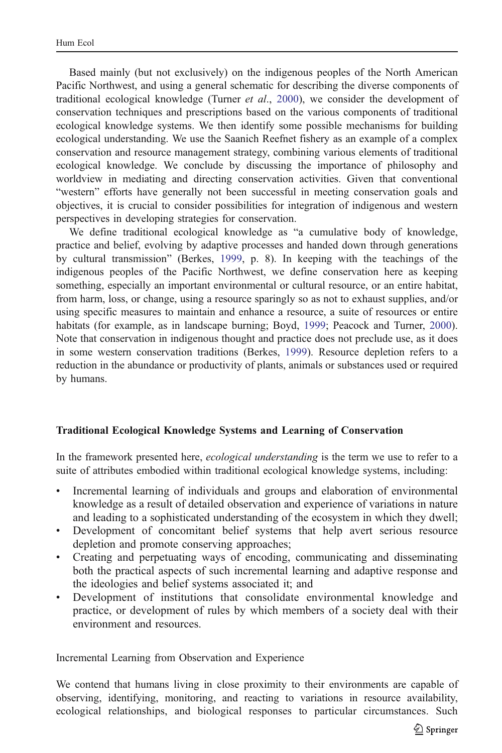Based mainly (but not exclusively) on the indigenous peoples of the North American Pacific Northwest, and using a general schematic for describing the diverse components of traditional ecological knowledge (Turner et al., [2000](#page-18-0)), we consider the development of conservation techniques and prescriptions based on the various components of traditional ecological knowledge systems. We then identify some possible mechanisms for building ecological understanding. We use the Saanich Reefnet fishery as an example of a complex conservation and resource management strategy, combining various elements of traditional ecological knowledge. We conclude by discussing the importance of philosophy and worldview in mediating and directing conservation activities. Given that conventional "western" efforts have generally not been successful in meeting conservation goals and objectives, it is crucial to consider possibilities for integration of indigenous and western perspectives in developing strategies for conservation.

We define traditional ecological knowledge as "a cumulative body of knowledge, practice and belief, evolving by adaptive processes and handed down through generations by cultural transmission" (Berkes, [1999](#page-16-0), p. 8). In keeping with the teachings of the indigenous peoples of the Pacific Northwest, we define conservation here as keeping something, especially an important environmental or cultural resource, or an entire habitat, from harm, loss, or change, using a resource sparingly so as not to exhaust supplies, and/or using specific measures to maintain and enhance a resource, a suite of resources or entire habitats (for example, as in landscape burning; Boyd, [1999](#page-16-0); Peacock and Turner, [2000\)](#page-17-0). Note that conservation in indigenous thought and practice does not preclude use, as it does in some western conservation traditions (Berkes, [1999](#page-16-0)). Resource depletion refers to a reduction in the abundance or productivity of plants, animals or substances used or required by humans.

# Traditional Ecological Knowledge Systems and Learning of Conservation

In the framework presented here, *ecological understanding* is the term we use to refer to a suite of attributes embodied within traditional ecological knowledge systems, including:

- Incremental learning of individuals and groups and elaboration of environmental knowledge as a result of detailed observation and experience of variations in nature and leading to a sophisticated understanding of the ecosystem in which they dwell;
- Development of concomitant belief systems that help avert serious resource depletion and promote conserving approaches;
- & Creating and perpetuating ways of encoding, communicating and disseminating both the practical aspects of such incremental learning and adaptive response and the ideologies and belief systems associated it; and
- Development of institutions that consolidate environmental knowledge and practice, or development of rules by which members of a society deal with their environment and resources.

Incremental Learning from Observation and Experience

We contend that humans living in close proximity to their environments are capable of observing, identifying, monitoring, and reacting to variations in resource availability, ecological relationships, and biological responses to particular circumstances. Such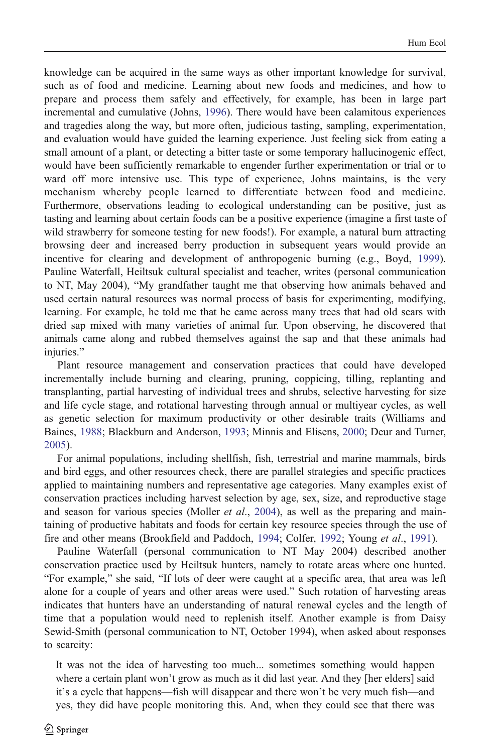knowledge can be acquired in the same ways as other important knowledge for survival, such as of food and medicine. Learning about new foods and medicines, and how to prepare and process them safely and effectively, for example, has been in large part incremental and cumulative (Johns, [1996](#page-17-0)). There would have been calamitous experiences and tragedies along the way, but more often, judicious tasting, sampling, experimentation, and evaluation would have guided the learning experience. Just feeling sick from eating a small amount of a plant, or detecting a bitter taste or some temporary hallucinogenic effect, would have been sufficiently remarkable to engender further experimentation or trial or to ward off more intensive use. This type of experience, Johns maintains, is the very mechanism whereby people learned to differentiate between food and medicine. Furthermore, observations leading to ecological understanding can be positive, just as tasting and learning about certain foods can be a positive experience (imagine a first taste of wild strawberry for someone testing for new foods!). For example, a natural burn attracting browsing deer and increased berry production in subsequent years would provide an incentive for clearing and development of anthropogenic burning (e.g., Boyd, [1999](#page-16-0)). Pauline Waterfall, Heiltsuk cultural specialist and teacher, writes (personal communication to NT, May 2004), "My grandfather taught me that observing how animals behaved and used certain natural resources was normal process of basis for experimenting, modifying, learning. For example, he told me that he came across many trees that had old scars with dried sap mixed with many varieties of animal fur. Upon observing, he discovered that animals came along and rubbed themselves against the sap and that these animals had injuries."

Plant resource management and conservation practices that could have developed incrementally include burning and clearing, pruning, coppicing, tilling, replanting and transplanting, partial harvesting of individual trees and shrubs, selective harvesting for size and life cycle stage, and rotational harvesting through annual or multiyear cycles, as well as genetic selection for maximum productivity or other desirable traits (Williams and Baines, [1988;](#page-18-0) Blackburn and Anderson, [1993;](#page-16-0) Minnis and Elisens, [2000;](#page-17-0) Deur and Turner, [2005\)](#page-16-0).

For animal populations, including shellfish, fish, terrestrial and marine mammals, birds and bird eggs, and other resources check, there are parallel strategies and specific practices applied to maintaining numbers and representative age categories. Many examples exist of conservation practices including harvest selection by age, sex, size, and reproductive stage and season for various species (Moller *et al.*, [2004\)](#page-17-0), as well as the preparing and maintaining of productive habitats and foods for certain key resource species through the use of fire and other means (Brookfield and Paddoch, [1994](#page-16-0); Colfer, [1992](#page-16-0); Young et al., [1991\)](#page-18-0).

Pauline Waterfall (personal communication to NT May 2004) described another conservation practice used by Heiltsuk hunters, namely to rotate areas where one hunted. "For example," she said, "If lots of deer were caught at a specific area, that area was left alone for a couple of years and other areas were used." Such rotation of harvesting areas indicates that hunters have an understanding of natural renewal cycles and the length of time that a population would need to replenish itself. Another example is from Daisy Sewid-Smith (personal communication to NT, October 1994), when asked about responses to scarcity:

It was not the idea of harvesting too much... sometimes something would happen where a certain plant won't grow as much as it did last year. And they [her elders] said it's a cycle that happens—fish will disappear and there won't be very much fish—and yes, they did have people monitoring this. And, when they could see that there was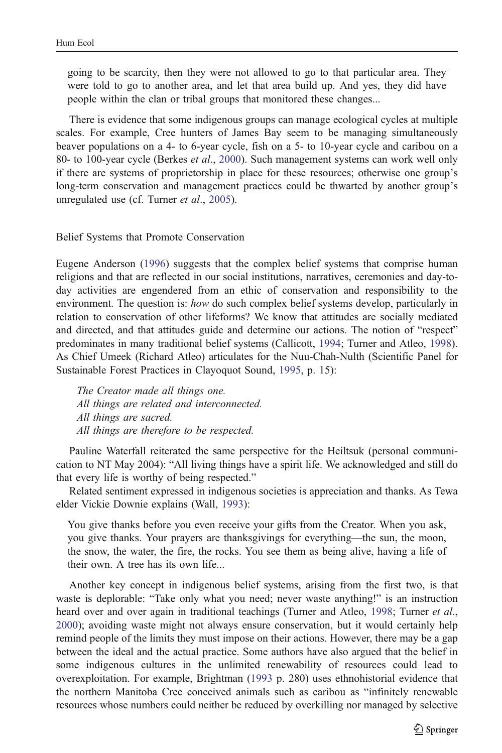going to be scarcity, then they were not allowed to go to that particular area. They were told to go to another area, and let that area build up. And yes, they did have people within the clan or tribal groups that monitored these changes...

There is evidence that some indigenous groups can manage ecological cycles at multiple scales. For example, Cree hunters of James Bay seem to be managing simultaneously beaver populations on a 4- to 6-year cycle, fish on a 5- to 10-year cycle and caribou on a 80- to 100-year cycle (Berkes et al., [2000](#page-16-0)). Such management systems can work well only if there are systems of proprietorship in place for these resources; otherwise one group's long-term conservation and management practices could be thwarted by another group's unregulated use (cf. Turner et al., [2005\)](#page-18-0).

Belief Systems that Promote Conservation

Eugene Anderson ([1996](#page-16-0)) suggests that the complex belief systems that comprise human religions and that are reflected in our social institutions, narratives, ceremonies and day-today activities are engendered from an ethic of conservation and responsibility to the environment. The question is: how do such complex belief systems develop, particularly in relation to conservation of other lifeforms? We know that attitudes are socially mediated and directed, and that attitudes guide and determine our actions. The notion of "respect" predominates in many traditional belief systems (Callicott, [1994](#page-16-0); Turner and Atleo, [1998\)](#page-18-0). As Chief Umeek (Richard Atleo) articulates for the Nuu-Chah-Nulth (Scientific Panel for Sustainable Forest Practices in Clayoquot Sound, [1995,](#page-17-0) p. 15):

The Creator made all things one. All things are related and interconnected. All things are sacred. All things are therefore to be respected.

Pauline Waterfall reiterated the same perspective for the Heiltsuk (personal communication to NT May 2004): "All living things have a spirit life. We acknowledged and still do that every life is worthy of being respected."

Related sentiment expressed in indigenous societies is appreciation and thanks. As Tewa elder Vickie Downie explains (Wall, [1993\)](#page-18-0):

You give thanks before you even receive your gifts from the Creator. When you ask, you give thanks. Your prayers are thanksgivings for everything—the sun, the moon, the snow, the water, the fire, the rocks. You see them as being alive, having a life of their own. A tree has its own life...

Another key concept in indigenous belief systems, arising from the first two, is that waste is deplorable: "Take only what you need; never waste anything!" is an instruction heard over and over again in traditional teachings (Turner and Atleo, [1998;](#page-18-0) Turner et al., [2000](#page-18-0)); avoiding waste might not always ensure conservation, but it would certainly help remind people of the limits they must impose on their actions. However, there may be a gap between the ideal and the actual practice. Some authors have also argued that the belief in some indigenous cultures in the unlimited renewability of resources could lead to overexploitation. For example, Brightman ([1993](#page-16-0) p. 280) uses ethnohistorial evidence that the northern Manitoba Cree conceived animals such as caribou as "infinitely renewable resources whose numbers could neither be reduced by overkilling nor managed by selective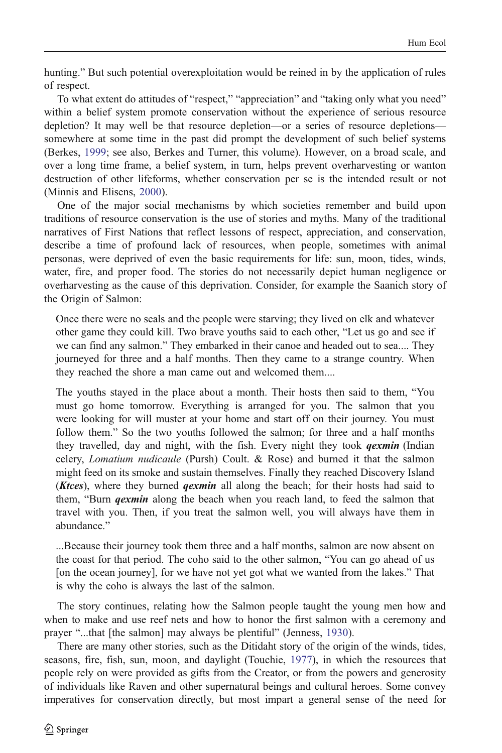hunting." But such potential overexploitation would be reined in by the application of rules of respect.

To what extent do attitudes of "respect," "appreciation" and "taking only what you need" within a belief system promote conservation without the experience of serious resource depletion? It may well be that resource depletion—or a series of resource depletions somewhere at some time in the past did prompt the development of such belief systems (Berkes, [1999](#page-16-0); see also, Berkes and Turner, this volume). However, on a broad scale, and over a long time frame, a belief system, in turn, helps prevent overharvesting or wanton destruction of other lifeforms, whether conservation per se is the intended result or not (Minnis and Elisens, [2000\)](#page-17-0).

One of the major social mechanisms by which societies remember and build upon traditions of resource conservation is the use of stories and myths. Many of the traditional narratives of First Nations that reflect lessons of respect, appreciation, and conservation, describe a time of profound lack of resources, when people, sometimes with animal personas, were deprived of even the basic requirements for life: sun, moon, tides, winds, water, fire, and proper food. The stories do not necessarily depict human negligence or overharvesting as the cause of this deprivation. Consider, for example the Saanich story of the Origin of Salmon:

Once there were no seals and the people were starving; they lived on elk and whatever other game they could kill. Two brave youths said to each other, "Let us go and see if we can find any salmon." They embarked in their canoe and headed out to sea.... They journeyed for three and a half months. Then they came to a strange country. When they reached the shore a man came out and welcomed them....

The youths stayed in the place about a month. Their hosts then said to them, "You must go home tomorrow. Everything is arranged for you. The salmon that you were looking for will muster at your home and start off on their journey. You must follow them." So the two youths followed the salmon; for three and a half months they travelled, day and night, with the fish. Every night they took *gexmin* (Indian celery, Lomatium nudicaule (Pursh) Coult. & Rose) and burned it that the salmon might feed on its smoke and sustain themselves. Finally they reached Discovery Island (**Ktces**), where they burned *qexmin* all along the beach; for their hosts had said to them, "Burn *qexmin* along the beach when you reach land, to feed the salmon that travel with you. Then, if you treat the salmon well, you will always have them in abundance."

...Because their journey took them three and a half months, salmon are now absent on the coast for that period. The coho said to the other salmon, "You can go ahead of us [on the ocean journey], for we have not yet got what we wanted from the lakes." That is why the coho is always the last of the salmon.

The story continues, relating how the Salmon people taught the young men how and when to make and use reef nets and how to honor the first salmon with a ceremony and prayer "...that [the salmon] may always be plentiful" (Jenness, [1930\)](#page-17-0).

There are many other stories, such as the Ditidaht story of the origin of the winds, tides, seasons, fire, fish, sun, moon, and daylight (Touchie, [1977\)](#page-17-0), in which the resources that people rely on were provided as gifts from the Creator, or from the powers and generosity of individuals like Raven and other supernatural beings and cultural heroes. Some convey imperatives for conservation directly, but most impart a general sense of the need for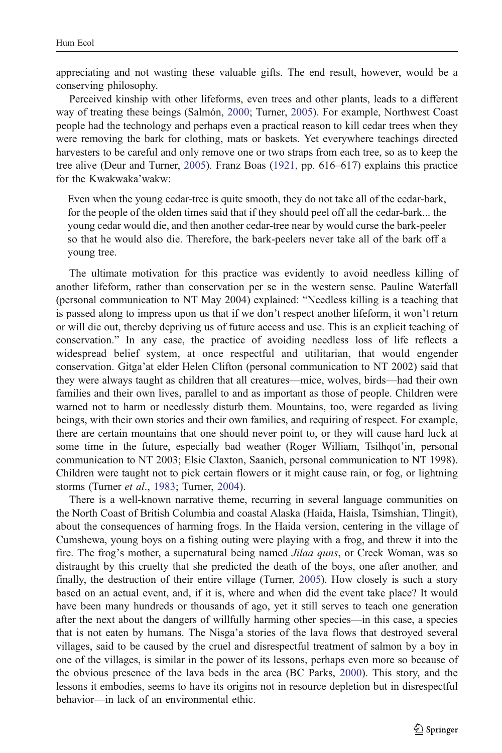appreciating and not wasting these valuable gifts. The end result, however, would be a conserving philosophy.

Perceived kinship with other lifeforms, even trees and other plants, leads to a different way of treating these beings (Salmón, [2000;](#page-17-0) Turner, [2005](#page-18-0)). For example, Northwest Coast people had the technology and perhaps even a practical reason to kill cedar trees when they were removing the bark for clothing, mats or baskets. Yet everywhere teachings directed harvesters to be careful and only remove one or two straps from each tree, so as to keep the tree alive (Deur and Turner, [2005](#page-16-0)). Franz Boas [\(1921,](#page-16-0) pp. 616–617) explains this practice for the Kwakwaka'wakw:

Even when the young cedar-tree is quite smooth, they do not take all of the cedar-bark, for the people of the olden times said that if they should peel off all the cedar-bark... the young cedar would die, and then another cedar-tree near by would curse the bark-peeler so that he would also die. Therefore, the bark-peelers never take all of the bark off a young tree.

The ultimate motivation for this practice was evidently to avoid needless killing of another lifeform, rather than conservation per se in the western sense. Pauline Waterfall (personal communication to NT May 2004) explained: "Needless killing is a teaching that is passed along to impress upon us that if we don't respect another lifeform, it won't return or will die out, thereby depriving us of future access and use. This is an explicit teaching of conservation." In any case, the practice of avoiding needless loss of life reflects a widespread belief system, at once respectful and utilitarian, that would engender conservation. Gitga'at elder Helen Clifton (personal communication to NT 2002) said that they were always taught as children that all creatures—mice, wolves, birds—had their own families and their own lives, parallel to and as important as those of people. Children were warned not to harm or needlessly disturb them. Mountains, too, were regarded as living beings, with their own stories and their own families, and requiring of respect. For example, there are certain mountains that one should never point to, or they will cause hard luck at some time in the future, especially bad weather (Roger William, Tsilhqot'in, personal communication to NT 2003; Elsie Claxton, Saanich, personal communication to NT 1998). Children were taught not to pick certain flowers or it might cause rain, or fog, or lightning storms (Turner *et al.*, [1983](#page-18-0); Turner, [2004](#page-18-0)).

There is a well-known narrative theme, recurring in several language communities on the North Coast of British Columbia and coastal Alaska (Haida, Haisla, Tsimshian, Tlingit), about the consequences of harming frogs. In the Haida version, centering in the village of Cumshewa, young boys on a fishing outing were playing with a frog, and threw it into the fire. The frog's mother, a supernatural being named *Jilaa quns*, or Creek Woman, was so distraught by this cruelty that she predicted the death of the boys, one after another, and finally, the destruction of their entire village (Turner, [2005](#page-18-0)). How closely is such a story based on an actual event, and, if it is, where and when did the event take place? It would have been many hundreds or thousands of ago, yet it still serves to teach one generation after the next about the dangers of willfully harming other species—in this case, a species that is not eaten by humans. The Nisga'a stories of the lava flows that destroyed several villages, said to be caused by the cruel and disrespectful treatment of salmon by a boy in one of the villages, is similar in the power of its lessons, perhaps even more so because of the obvious presence of the lava beds in the area (BC Parks, [2000](#page-16-0)). This story, and the lessons it embodies, seems to have its origins not in resource depletion but in disrespectful behavior—in lack of an environmental ethic.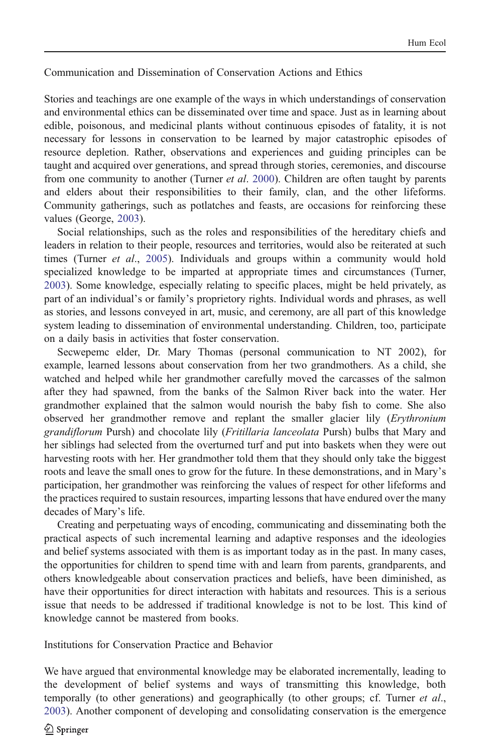# Communication and Dissemination of Conservation Actions and Ethics

Stories and teachings are one example of the ways in which understandings of conservation and environmental ethics can be disseminated over time and space. Just as in learning about edible, poisonous, and medicinal plants without continuous episodes of fatality, it is not necessary for lessons in conservation to be learned by major catastrophic episodes of resource depletion. Rather, observations and experiences and guiding principles can be taught and acquired over generations, and spread through stories, ceremonies, and discourse from one community to another (Turner *et al.* [2000](#page-18-0)). Children are often taught by parents and elders about their responsibilities to their family, clan, and the other lifeforms. Community gatherings, such as potlatches and feasts, are occasions for reinforcing these values (George, [2003](#page-16-0)).

Social relationships, such as the roles and responsibilities of the hereditary chiefs and leaders in relation to their people, resources and territories, would also be reiterated at such times (Turner et al., [2005](#page-18-0)). Individuals and groups within a community would hold specialized knowledge to be imparted at appropriate times and circumstances (Turner, [2003\)](#page-18-0). Some knowledge, especially relating to specific places, might be held privately, as part of an individual's or family's proprietory rights. Individual words and phrases, as well as stories, and lessons conveyed in art, music, and ceremony, are all part of this knowledge system leading to dissemination of environmental understanding. Children, too, participate on a daily basis in activities that foster conservation.

Secwepemc elder, Dr. Mary Thomas (personal communication to NT 2002), for example, learned lessons about conservation from her two grandmothers. As a child, she watched and helped while her grandmother carefully moved the carcasses of the salmon after they had spawned, from the banks of the Salmon River back into the water. Her grandmother explained that the salmon would nourish the baby fish to come. She also observed her grandmother remove and replant the smaller glacier lily (Erythronium grandiflorum Pursh) and chocolate lily (Fritillaria lanceolata Pursh) bulbs that Mary and her siblings had selected from the overturned turf and put into baskets when they were out harvesting roots with her. Her grandmother told them that they should only take the biggest roots and leave the small ones to grow for the future. In these demonstrations, and in Mary's participation, her grandmother was reinforcing the values of respect for other lifeforms and the practices required to sustain resources, imparting lessons that have endured over the many decades of Mary's life.

Creating and perpetuating ways of encoding, communicating and disseminating both the practical aspects of such incremental learning and adaptive responses and the ideologies and belief systems associated with them is as important today as in the past. In many cases, the opportunities for children to spend time with and learn from parents, grandparents, and others knowledgeable about conservation practices and beliefs, have been diminished, as have their opportunities for direct interaction with habitats and resources. This is a serious issue that needs to be addressed if traditional knowledge is not to be lost. This kind of knowledge cannot be mastered from books.

Institutions for Conservation Practice and Behavior

We have argued that environmental knowledge may be elaborated incrementally, leading to the development of belief systems and ways of transmitting this knowledge, both temporally (to other generations) and geographically (to other groups; cf. Turner et al., [2003\)](#page-18-0). Another component of developing and consolidating conservation is the emergence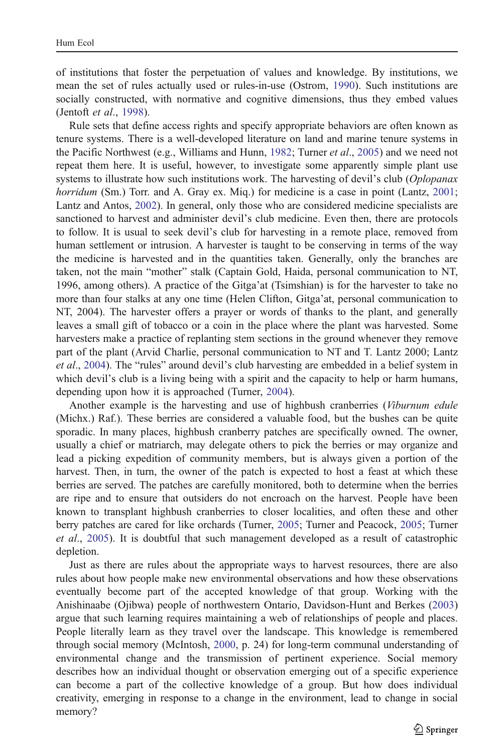of institutions that foster the perpetuation of values and knowledge. By institutions, we mean the set of rules actually used or rules-in-use (Ostrom, [1990](#page-17-0)). Such institutions are socially constructed, with normative and cognitive dimensions, thus they embed values (Jentoft et al., [1998\)](#page-17-0).

Rule sets that define access rights and specify appropriate behaviors are often known as tenure systems. There is a well-developed literature on land and marine tenure systems in the Pacific Northwest (e.g., Williams and Hunn, [1982](#page-18-0); Turner *et al.*, [2005](#page-18-0)) and we need not repeat them here. It is useful, however, to investigate some apparently simple plant use systems to illustrate how such institutions work. The harvesting of devil's club (Oplopanax horridum (Sm.) Torr. and A. Gray ex. Miq.) for medicine is a case in point (Lantz, [2001](#page-17-0); Lantz and Antos, [2002\)](#page-17-0). In general, only those who are considered medicine specialists are sanctioned to harvest and administer devil's club medicine. Even then, there are protocols to follow. It is usual to seek devil's club for harvesting in a remote place, removed from human settlement or intrusion. A harvester is taught to be conserving in terms of the way the medicine is harvested and in the quantities taken. Generally, only the branches are taken, not the main "mother" stalk (Captain Gold, Haida, personal communication to NT, 1996, among others). A practice of the Gitga'at (Tsimshian) is for the harvester to take no more than four stalks at any one time (Helen Clifton, Gitga'at, personal communication to NT, 2004). The harvester offers a prayer or words of thanks to the plant, and generally leaves a small gift of tobacco or a coin in the place where the plant was harvested. Some harvesters make a practice of replanting stem sections in the ground whenever they remove part of the plant (Arvid Charlie, personal communication to NT and T. Lantz 2000; Lantz et al., [2004](#page-17-0)). The "rules" around devil's club harvesting are embedded in a belief system in which devil's club is a living being with a spirit and the capacity to help or harm humans, depending upon how it is approached (Turner, [2004](#page-18-0)).

Another example is the harvesting and use of highbush cranberries (Viburnum edule (Michx.) Raf.). These berries are considered a valuable food, but the bushes can be quite sporadic. In many places, highbush cranberry patches are specifically owned. The owner, usually a chief or matriarch, may delegate others to pick the berries or may organize and lead a picking expedition of community members, but is always given a portion of the harvest. Then, in turn, the owner of the patch is expected to host a feast at which these berries are served. The patches are carefully monitored, both to determine when the berries are ripe and to ensure that outsiders do not encroach on the harvest. People have been known to transplant highbush cranberries to closer localities, and often these and other berry patches are cared for like orchards (Turner, [2005;](#page-18-0) Turner and Peacock, [2005](#page-18-0); Turner et al., [2005\)](#page-18-0). It is doubtful that such management developed as a result of catastrophic depletion.

Just as there are rules about the appropriate ways to harvest resources, there are also rules about how people make new environmental observations and how these observations eventually become part of the accepted knowledge of that group. Working with the Anishinaabe (Ojibwa) people of northwestern Ontario, Davidson-Hunt and Berkes [\(2003\)](#page-16-0) argue that such learning requires maintaining a web of relationships of people and places. People literally learn as they travel over the landscape. This knowledge is remembered through social memory (McIntosh, [2000,](#page-17-0) p. 24) for long-term communal understanding of environmental change and the transmission of pertinent experience. Social memory describes how an individual thought or observation emerging out of a specific experience can become a part of the collective knowledge of a group. But how does individual creativity, emerging in response to a change in the environment, lead to change in social memory?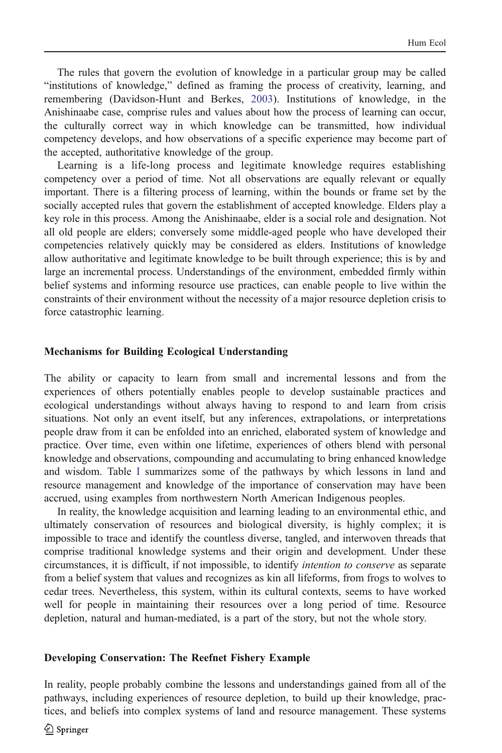The rules that govern the evolution of knowledge in a particular group may be called "institutions of knowledge," defined as framing the process of creativity, learning, and remembering (Davidson-Hunt and Berkes, [2003](#page-16-0)). Institutions of knowledge, in the Anishinaabe case, comprise rules and values about how the process of learning can occur, the culturally correct way in which knowledge can be transmitted, how individual competency develops, and how observations of a specific experience may become part of the accepted, authoritative knowledge of the group.

Learning is a life-long process and legitimate knowledge requires establishing competency over a period of time. Not all observations are equally relevant or equally important. There is a filtering process of learning, within the bounds or frame set by the socially accepted rules that govern the establishment of accepted knowledge. Elders play a key role in this process. Among the Anishinaabe, elder is a social role and designation. Not all old people are elders; conversely some middle-aged people who have developed their competencies relatively quickly may be considered as elders. Institutions of knowledge allow authoritative and legitimate knowledge to be built through experience; this is by and large an incremental process. Understandings of the environment, embedded firmly within belief systems and informing resource use practices, can enable people to live within the constraints of their environment without the necessity of a major resource depletion crisis to force catastrophic learning.

### Mechanisms for Building Ecological Understanding

The ability or capacity to learn from small and incremental lessons and from the experiences of others potentially enables people to develop sustainable practices and ecological understandings without always having to respond to and learn from crisis situations. Not only an event itself, but any inferences, extrapolations, or interpretations people draw from it can be enfolded into an enriched, elaborated system of knowledge and practice. Over time, even within one lifetime, experiences of others blend with personal knowledge and observations, compounding and accumulating to bring enhanced knowledge and wisdom. Table [I](#page-10-0) summarizes some of the pathways by which lessons in land and resource management and knowledge of the importance of conservation may have been accrued, using examples from northwestern North American Indigenous peoples.

In reality, the knowledge acquisition and learning leading to an environmental ethic, and ultimately conservation of resources and biological diversity, is highly complex; it is impossible to trace and identify the countless diverse, tangled, and interwoven threads that comprise traditional knowledge systems and their origin and development. Under these circumstances, it is difficult, if not impossible, to identify intention to conserve as separate from a belief system that values and recognizes as kin all lifeforms, from frogs to wolves to cedar trees. Nevertheless, this system, within its cultural contexts, seems to have worked well for people in maintaining their resources over a long period of time. Resource depletion, natural and human-mediated, is a part of the story, but not the whole story.

#### Developing Conservation: The Reefnet Fishery Example

In reality, people probably combine the lessons and understandings gained from all of the pathways, including experiences of resource depletion, to build up their knowledge, practices, and beliefs into complex systems of land and resource management. These systems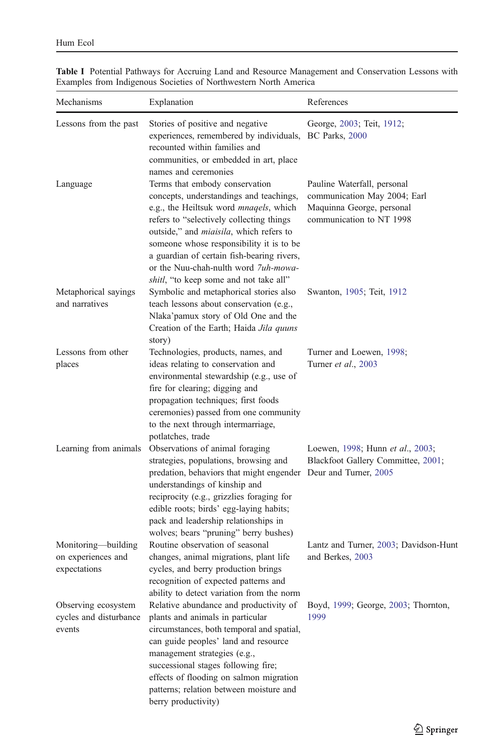| Mechanisms                                                | Explanation                                                                                                                                                                                                                                                                                                                                                                                            | References                                                                                                           |
|-----------------------------------------------------------|--------------------------------------------------------------------------------------------------------------------------------------------------------------------------------------------------------------------------------------------------------------------------------------------------------------------------------------------------------------------------------------------------------|----------------------------------------------------------------------------------------------------------------------|
| Lessons from the past                                     | Stories of positive and negative<br>experiences, remembered by individuals,<br>recounted within families and<br>communities, or embedded in art, place<br>names and ceremonies                                                                                                                                                                                                                         | George, 2003; Teit, 1912;<br>BC Parks, 2000                                                                          |
| Language                                                  | Terms that embody conservation<br>concepts, understandings and teachings,<br>e.g., the Heiltsuk word <i>mnaqels</i> , which<br>refers to "selectively collecting things<br>outside," and <i>miaisila</i> , which refers to<br>someone whose responsibility it is to be<br>a guardian of certain fish-bearing rivers,<br>or the Nuu-chah-nulth word 7uh-mowa-<br>shitl, "to keep some and not take all" | Pauline Waterfall, personal<br>communication May 2004; Earl<br>Maquinna George, personal<br>communication to NT 1998 |
| Metaphorical sayings<br>and narratives                    | Symbolic and metaphorical stories also<br>teach lessons about conservation (e.g.,<br>Nlaka'pamux story of Old One and the<br>Creation of the Earth; Haida Jila quuns<br>story)                                                                                                                                                                                                                         | Swanton, 1905; Teit, 1912                                                                                            |
| Lessons from other<br>places                              | Technologies, products, names, and<br>ideas relating to conservation and<br>environmental stewardship (e.g., use of<br>fire for clearing; digging and<br>propagation techniques; first foods<br>ceremonies) passed from one community<br>to the next through intermarriage,<br>potlatches, trade                                                                                                       | Turner and Loewen, 1998;<br>Turner et al., 2003                                                                      |
| Learning from animals                                     | Observations of animal foraging<br>strategies, populations, browsing and<br>predation, behaviors that might engender Deur and Turner, 2005<br>understandings of kinship and<br>reciprocity (e.g., grizzlies foraging for<br>edible roots; birds' egg-laying habits;<br>pack and leadership relationships in<br>wolves; bears "pruning" berry bushes)                                                   | Loewen, 1998; Hunn et al., 2003;<br>Blackfoot Gallery Committee, 2001;                                               |
| Monitoring-building<br>on experiences and<br>expectations | Routine observation of seasonal<br>changes, animal migrations, plant life<br>cycles, and berry production brings<br>recognition of expected patterns and<br>ability to detect variation from the norm                                                                                                                                                                                                  | Lantz and Turner, 2003; Davidson-Hunt<br>and Berkes, 2003                                                            |
| Observing ecosystem<br>cycles and disturbance<br>events   | Relative abundance and productivity of<br>plants and animals in particular<br>circumstances, both temporal and spatial,<br>can guide peoples' land and resource<br>management strategies (e.g.,<br>successional stages following fire;<br>effects of flooding on salmon migration<br>patterns; relation between moisture and<br>berry productivity)                                                    | Boyd, 1999; George, 2003; Thornton,<br>1999                                                                          |

<span id="page-10-0"></span>Table I Potential Pathways for Accruing Land and Resource Management and Conservation Lessons with Examples from Indigenous Societies of Northwestern North America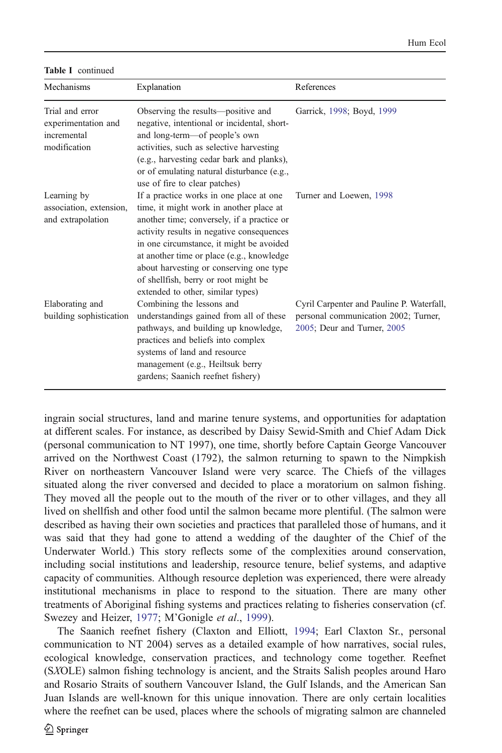| Mechanisms                                                            | Explanation                                                                                                                                                                                                                                                                                                                                                                                     | References                                                                                                       |
|-----------------------------------------------------------------------|-------------------------------------------------------------------------------------------------------------------------------------------------------------------------------------------------------------------------------------------------------------------------------------------------------------------------------------------------------------------------------------------------|------------------------------------------------------------------------------------------------------------------|
| Trial and error<br>experimentation and<br>incremental<br>modification | Observing the results—positive and<br>negative, intentional or incidental, short-<br>and long-term—of people's own<br>activities, such as selective harvesting<br>(e.g., harvesting cedar bark and planks),<br>or of emulating natural disturbance (e.g.,<br>use of fire to clear patches)                                                                                                      | Garrick, 1998; Boyd, 1999                                                                                        |
| Learning by<br>association, extension,<br>and extrapolation           | If a practice works in one place at one<br>time, it might work in another place at<br>another time; conversely, if a practice or<br>activity results in negative consequences<br>in one circumstance, it might be avoided<br>at another time or place (e.g., knowledge)<br>about harvesting or conserving one type<br>of shellfish, berry or root might be<br>extended to other, similar types) | Turner and Loewen, 1998                                                                                          |
| Elaborating and<br>building sophistication                            | Combining the lessons and<br>understandings gained from all of these<br>pathways, and building up knowledge,<br>practices and beliefs into complex<br>systems of land and resource<br>management (e.g., Heiltsuk berry<br>gardens; Saanich reefnet fishery)                                                                                                                                     | Cyril Carpenter and Pauline P. Waterfall,<br>personal communication 2002; Turner,<br>2005; Deur and Turner, 2005 |

Table I continued

ingrain social structures, land and marine tenure systems, and opportunities for adaptation at different scales. For instance, as described by Daisy Sewid-Smith and Chief Adam Dick (personal communication to NT 1997), one time, shortly before Captain George Vancouver arrived on the Northwest Coast (1792), the salmon returning to spawn to the Nimpkish River on northeastern Vancouver Island were very scarce. The Chiefs of the villages situated along the river conversed and decided to place a moratorium on salmon fishing. They moved all the people out to the mouth of the river or to other villages, and they all lived on shellfish and other food until the salmon became more plentiful. (The salmon were described as having their own societies and practices that paralleled those of humans, and it was said that they had gone to attend a wedding of the daughter of the Chief of the Underwater World.) This story reflects some of the complexities around conservation, including social institutions and leadership, resource tenure, belief systems, and adaptive capacity of communities. Although resource depletion was experienced, there were already institutional mechanisms in place to respond to the situation. There are many other treatments of Aboriginal fishing systems and practices relating to fisheries conservation (cf. Swezey and Heizer, [1977;](#page-17-0) M'Gonigle et al., [1999](#page-17-0)).

The Saanich reefnet fishery (Claxton and Elliott, [1994;](#page-16-0) Earl Claxton Sr., personal communication to NT 2004) serves as a detailed example of how narratives, social rules, ecological knowledge, conservation practices, and technology come together. Reefnet (SXOLE) salmon fishing technology is ancient, and the Straits Salish peoples around Haro and Rosario Straits of southern Vancouver Island, the Gulf Islands, and the American San Juan Islands are well-known for this unique innovation. There are only certain localities where the reefnet can be used, places where the schools of migrating salmon are channeled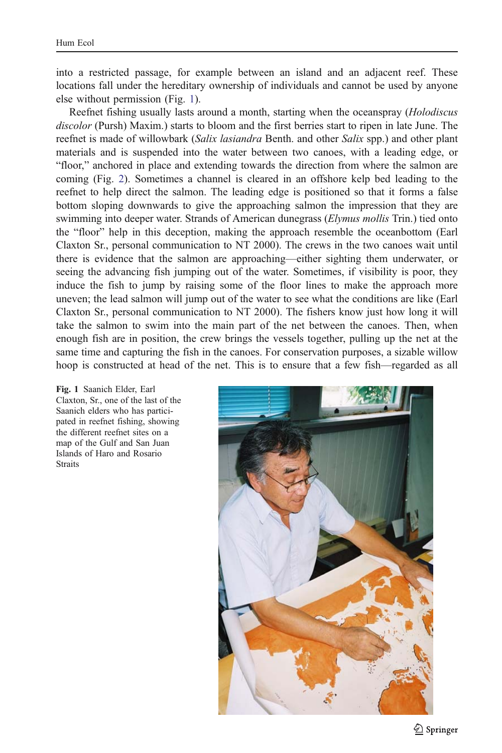into a restricted passage, for example between an island and an adjacent reef. These locations fall under the hereditary ownership of individuals and cannot be used by anyone else without permission (Fig. 1).

Reefnet fishing usually lasts around a month, starting when the oceanspray (Holodiscus discolor (Pursh) Maxim.) starts to bloom and the first berries start to ripen in late June. The reefnet is made of willowbark (Salix lasiandra Benth. and other Salix spp.) and other plant materials and is suspended into the water between two canoes, with a leading edge, or "floor," anchored in place and extending towards the direction from where the salmon are coming (Fig. [2\)](#page-13-0). Sometimes a channel is cleared in an offshore kelp bed leading to the reefnet to help direct the salmon. The leading edge is positioned so that it forms a false bottom sloping downwards to give the approaching salmon the impression that they are swimming into deeper water. Strands of American dunegrass (Elymus mollis Trin.) tied onto the "floor" help in this deception, making the approach resemble the oceanbottom (Earl Claxton Sr., personal communication to NT 2000). The crews in the two canoes wait until there is evidence that the salmon are approaching—either sighting them underwater, or seeing the advancing fish jumping out of the water. Sometimes, if visibility is poor, they induce the fish to jump by raising some of the floor lines to make the approach more uneven; the lead salmon will jump out of the water to see what the conditions are like (Earl Claxton Sr., personal communication to NT 2000). The fishers know just how long it will take the salmon to swim into the main part of the net between the canoes. Then, when enough fish are in position, the crew brings the vessels together, pulling up the net at the same time and capturing the fish in the canoes. For conservation purposes, a sizable willow hoop is constructed at head of the net. This is to ensure that a few fish—regarded as all

Fig. 1 Saanich Elder, Earl Claxton, Sr., one of the last of the Saanich elders who has participated in reefnet fishing, showing the different reefnet sites on a map of the Gulf and San Juan Islands of Haro and Rosario Straits

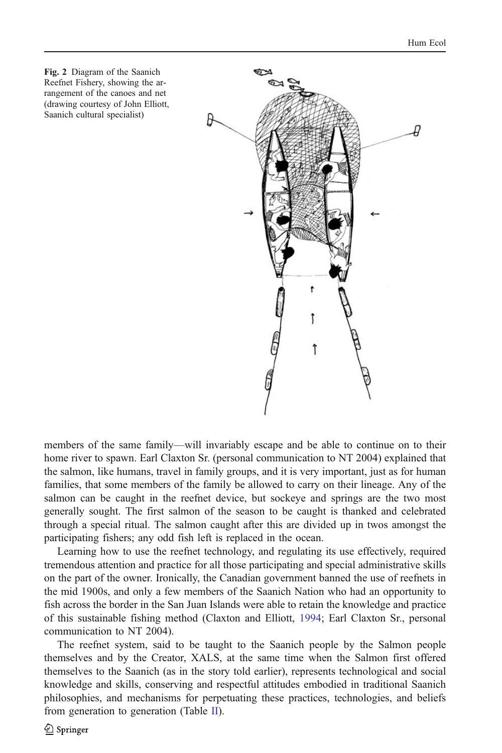<span id="page-13-0"></span>Fig. 2 Diagram of the Saanich Reefnet Fishery, showing the arrangement of the canoes and net (drawing courtesy of John Elliott, Saanich cultural specialist)



members of the same family—will invariably escape and be able to continue on to their home river to spawn. Earl Claxton Sr. (personal communication to NT 2004) explained that the salmon, like humans, travel in family groups, and it is very important, just as for human families, that some members of the family be allowed to carry on their lineage. Any of the salmon can be caught in the reefnet device, but sockeye and springs are the two most generally sought. The first salmon of the season to be caught is thanked and celebrated through a special ritual. The salmon caught after this are divided up in twos amongst the participating fishers; any odd fish left is replaced in the ocean.

Learning how to use the reefnet technology, and regulating its use effectively, required tremendous attention and practice for all those participating and special administrative skills on the part of the owner. Ironically, the Canadian government banned the use of reefnets in the mid 1900s, and only a few members of the Saanich Nation who had an opportunity to fish across the border in the San Juan Islands were able to retain the knowledge and practice of this sustainable fishing method (Claxton and Elliott, [1994](#page-16-0); Earl Claxton Sr., personal communication to NT 2004).

The reefnet system, said to be taught to the Saanich people by the Salmon people themselves and by the Creator, XALS, at the same time when the Salmon first offered themselves to the Saanich (as in the story told earlier), represents technological and social knowledge and skills, conserving and respectful attitudes embodied in traditional Saanich philosophies, and mechanisms for perpetuating these practices, technologies, and beliefs from generation to generation (Table [II\)](#page-14-0).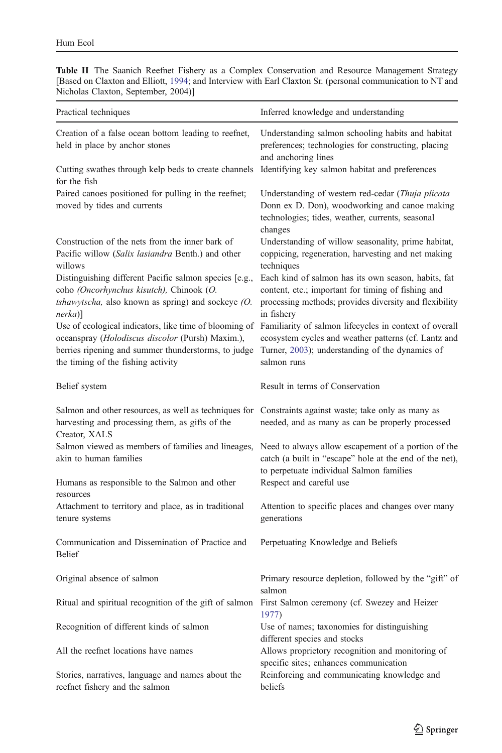<span id="page-14-0"></span>Table II The Saanich Reefnet Fishery as a Complex Conservation and Resource Management Strategy [Based on Claxton and Elliott, [1994;](#page-16-0) and Interview with Earl Claxton Sr. (personal communication to NT and Nicholas Claxton, September, 2004)]

| Practical techniques                                                                                                                                                                                                                                                                                                                                                                                                                            | Inferred knowledge and understanding                                                                                                                                                                                                                                                                                                                                                                                                                                                                                                                    |
|-------------------------------------------------------------------------------------------------------------------------------------------------------------------------------------------------------------------------------------------------------------------------------------------------------------------------------------------------------------------------------------------------------------------------------------------------|---------------------------------------------------------------------------------------------------------------------------------------------------------------------------------------------------------------------------------------------------------------------------------------------------------------------------------------------------------------------------------------------------------------------------------------------------------------------------------------------------------------------------------------------------------|
| Creation of a false ocean bottom leading to reefnet,<br>held in place by anchor stones                                                                                                                                                                                                                                                                                                                                                          | Understanding salmon schooling habits and habitat<br>preferences; technologies for constructing, placing<br>and anchoring lines                                                                                                                                                                                                                                                                                                                                                                                                                         |
| Cutting swathes through kelp beds to create channels<br>for the fish                                                                                                                                                                                                                                                                                                                                                                            | Identifying key salmon habitat and preferences                                                                                                                                                                                                                                                                                                                                                                                                                                                                                                          |
| Paired canoes positioned for pulling in the reefnet;<br>moved by tides and currents                                                                                                                                                                                                                                                                                                                                                             | Understanding of western red-cedar (Thuja plicata<br>Donn ex D. Don), woodworking and canoe making<br>technologies; tides, weather, currents, seasonal<br>changes                                                                                                                                                                                                                                                                                                                                                                                       |
| Construction of the nets from the inner bark of<br>Pacific willow (Salix lasiandra Benth.) and other<br>willows<br>Distinguishing different Pacific salmon species [e.g.,<br>coho (Oncorhynchus kisutch), Chinook (O.<br><i>tshawytscha</i> , also known as spring) and sockeye (O.<br>nerka)]<br>oceanspray (Holodiscus discolor (Pursh) Maxim.),<br>berries ripening and summer thunderstorms, to judge<br>the timing of the fishing activity | Understanding of willow seasonality, prime habitat,<br>coppicing, regeneration, harvesting and net making<br>techniques<br>Each kind of salmon has its own season, habits, fat<br>content, etc.; important for timing of fishing and<br>processing methods; provides diversity and flexibility<br>in fishery<br>Use of ecological indicators, like time of blooming of Familiarity of salmon lifecycles in context of overall<br>ecosystem cycles and weather patterns (cf. Lantz and<br>Turner, 2003); understanding of the dynamics of<br>salmon runs |
| Belief system                                                                                                                                                                                                                                                                                                                                                                                                                                   | Result in terms of Conservation                                                                                                                                                                                                                                                                                                                                                                                                                                                                                                                         |
| Salmon and other resources, as well as techniques for Constraints against waste; take only as many as<br>harvesting and processing them, as gifts of the<br>Creator, XALS                                                                                                                                                                                                                                                                       | needed, and as many as can be properly processed                                                                                                                                                                                                                                                                                                                                                                                                                                                                                                        |
| Salmon viewed as members of families and lineages,<br>akin to human families                                                                                                                                                                                                                                                                                                                                                                    | Need to always allow escapement of a portion of the<br>catch (a built in "escape" hole at the end of the net),<br>to perpetuate individual Salmon families                                                                                                                                                                                                                                                                                                                                                                                              |
| Humans as responsible to the Salmon and other<br>resources                                                                                                                                                                                                                                                                                                                                                                                      | Respect and careful use                                                                                                                                                                                                                                                                                                                                                                                                                                                                                                                                 |
| Attachment to territory and place, as in traditional<br>tenure systems                                                                                                                                                                                                                                                                                                                                                                          | Attention to specific places and changes over many<br>generations                                                                                                                                                                                                                                                                                                                                                                                                                                                                                       |
| Communication and Dissemination of Practice and<br>Belief                                                                                                                                                                                                                                                                                                                                                                                       | Perpetuating Knowledge and Beliefs                                                                                                                                                                                                                                                                                                                                                                                                                                                                                                                      |
| Original absence of salmon                                                                                                                                                                                                                                                                                                                                                                                                                      | Primary resource depletion, followed by the "gift" of<br>salmon                                                                                                                                                                                                                                                                                                                                                                                                                                                                                         |
| Ritual and spiritual recognition of the gift of salmon                                                                                                                                                                                                                                                                                                                                                                                          | First Salmon ceremony (cf. Swezey and Heizer<br>1977)                                                                                                                                                                                                                                                                                                                                                                                                                                                                                                   |
| Recognition of different kinds of salmon                                                                                                                                                                                                                                                                                                                                                                                                        | Use of names; taxonomies for distinguishing<br>different species and stocks                                                                                                                                                                                                                                                                                                                                                                                                                                                                             |
| All the reefnet locations have names<br>Stories, narratives, language and names about the                                                                                                                                                                                                                                                                                                                                                       | Allows proprietory recognition and monitoring of<br>specific sites; enhances communication<br>Reinforcing and communicating knowledge and                                                                                                                                                                                                                                                                                                                                                                                                               |
| reefnet fishery and the salmon                                                                                                                                                                                                                                                                                                                                                                                                                  | beliefs                                                                                                                                                                                                                                                                                                                                                                                                                                                                                                                                                 |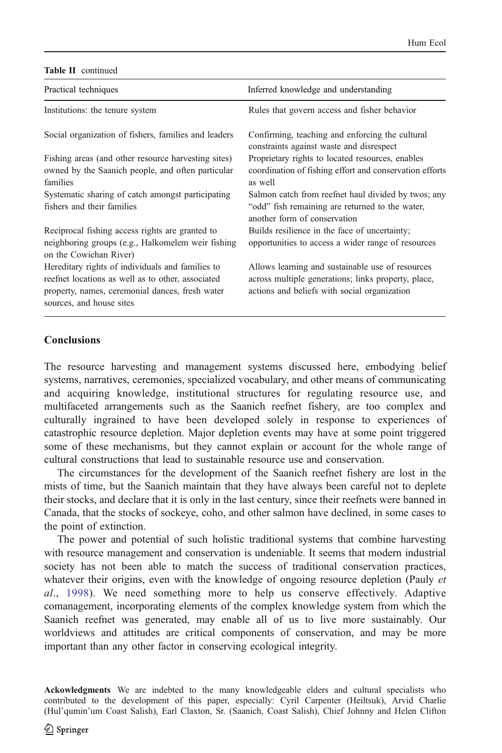#### Table II continued

| Practical techniques                                                                                                                                                                 | Inferred knowledge and understanding                                                                                                                    |
|--------------------------------------------------------------------------------------------------------------------------------------------------------------------------------------|---------------------------------------------------------------------------------------------------------------------------------------------------------|
| Institutions: the tenure system                                                                                                                                                      | Rules that govern access and fisher behavior                                                                                                            |
| Social organization of fishers, families and leaders                                                                                                                                 | Confirming, teaching and enforcing the cultural<br>constraints against waste and disrespect                                                             |
| Fishing areas (and other resource harvesting sites)<br>owned by the Saanich people, and often particular<br>families                                                                 | Proprietary rights to located resources, enables<br>coordination of fishing effort and conservation efforts<br>as well                                  |
| Systematic sharing of catch amongst participating<br>fishers and their families                                                                                                      | Salmon catch from reefnet haul divided by twos; any<br>"odd" fish remaining are returned to the water,<br>another form of conservation                  |
| Reciprocal fishing access rights are granted to<br>neighboring groups (e.g., Halkomelem weir fishing<br>on the Cowichan River)                                                       | Builds resilience in the face of uncertainty;<br>opportunities to access a wider range of resources                                                     |
| Hereditary rights of individuals and families to<br>reefnet locations as well as to other, associated<br>property, names, ceremonial dances, fresh water<br>sources, and house sites | Allows learning and sustainable use of resources<br>across multiple generations; links property, place,<br>actions and beliefs with social organization |

# **Conclusions**

The resource harvesting and management systems discussed here, embodying belief systems, narratives, ceremonies, specialized vocabulary, and other means of communicating and acquiring knowledge, institutional structures for regulating resource use, and multifaceted arrangements such as the Saanich reefnet fishery, are too complex and culturally ingrained to have been developed solely in response to experiences of catastrophic resource depletion. Major depletion events may have at some point triggered some of these mechanisms, but they cannot explain or account for the whole range of cultural constructions that lead to sustainable resource use and conservation.

The circumstances for the development of the Saanich reefnet fishery are lost in the mists of time, but the Saanich maintain that they have always been careful not to deplete their stocks, and declare that it is only in the last century, since their reefnets were banned in Canada, that the stocks of sockeye, coho, and other salmon have declined, in some cases to the point of extinction.

The power and potential of such holistic traditional systems that combine harvesting with resource management and conservation is undeniable. It seems that modern industrial society has not been able to match the success of traditional conservation practices, whatever their origins, even with the knowledge of ongoing resource depletion (Pauly et al., [1998\)](#page-17-0). We need something more to help us conserve effectively. Adaptive comanagement, incorporating elements of the complex knowledge system from which the Saanich reefnet was generated, may enable all of us to live more sustainably. Our worldviews and attitudes are critical components of conservation, and may be more important than any other factor in conserving ecological integrity.

Ackowledgments We are indebted to the many knowledgeable elders and cultural specialists who contributed to the development of this paper, especially: Cyril Carpenter (Heiltsuk), Arvid Charlie (Hul'qumin'um Coast Salish), Earl Claxton, Sr. (Saanich, Coast Salish), Chief Johnny and Helen Clifton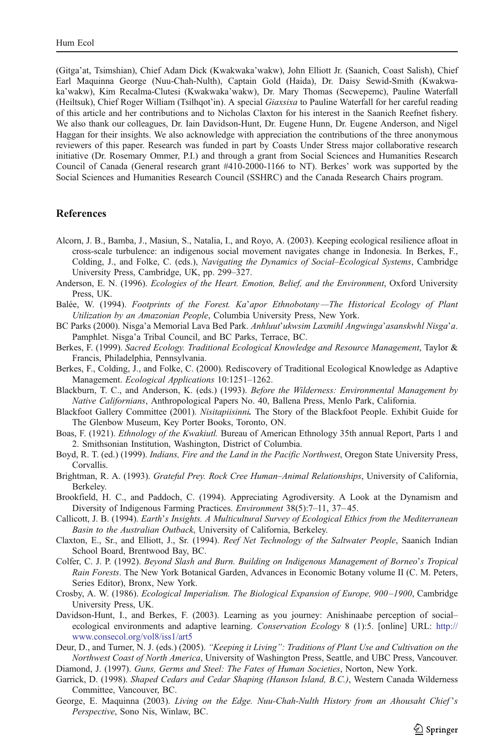<span id="page-16-0"></span>(Gitga'at, Tsimshian), Chief Adam Dick (Kwakwaka'wakw), John Elliott Jr. (Saanich, Coast Salish), Chief Earl Maquinna George (Nuu-Chah-Nulth), Captain Gold (Haida), Dr. Daisy Sewid-Smith (Kwakwaka'wakw), Kim Recalma-Clutesi (Kwakwaka'wakw), Dr. Mary Thomas (Secwepemc), Pauline Waterfall (Heiltsuk), Chief Roger William (Tsilhqot'in). A special Giaxsixa to Pauline Waterfall for her careful reading of this article and her contributions and to Nicholas Claxton for his interest in the Saanich Reefnet fishery. We also thank our colleagues, Dr. Iain Davidson-Hunt, Dr. Eugene Hunn, Dr. Eugene Anderson, and Nigel Haggan for their insights. We also acknowledge with appreciation the contributions of the three anonymous reviewers of this paper. Research was funded in part by Coasts Under Stress major collaborative research initiative (Dr. Rosemary Ommer, P.I.) and through a grant from Social Sciences and Humanities Research Council of Canada (General research grant #410-2000-1166 to NT). Berkes' work was supported by the Social Sciences and Humanities Research Council (SSHRC) and the Canada Research Chairs program.

#### References

- Alcorn, J. B., Bamba, J., Masiun, S., Natalia, I., and Royo, A. (2003). Keeping ecological resilience afloat in cross-scale turbulence: an indigenous social movement navigates change in Indonesia. In Berkes, F., Colding, J., and Folke, C. (eds.), Navigating the Dynamics of Social–Ecological Systems, Cambridge University Press, Cambridge, UK, pp. 299–327.
- Anderson, E. N. (1996). *Ecologies of the Heart. Emotion, Belief, and the Environment*, Oxford University Press, UK.
- Balée, W. (1994). Footprints of the Forest. Ka'apor Ethnobotany -The Historical Ecology of Plant Utilization by an Amazonian People, Columbia University Press, New York.
- BC Parks (2000). Nisga'a Memorial Lava Bed Park. Anhluut'ukwsim Laxmihl Angwinga'asanskwhl Nisga'a. Pamphlet. Nisga'a Tribal Council, and BC Parks, Terrace, BC.
- Berkes, F. (1999). Sacred Ecology. Traditional Ecological Knowledge and Resource Management, Taylor & Francis, Philadelphia, Pennsylvania.
- Berkes, F., Colding, J., and Folke, C. (2000). Rediscovery of Traditional Ecological Knowledge as Adaptive Management. Ecological Applications 10:1251–1262.
- Blackburn, T. C., and Anderson, K. (eds.) (1993). Before the Wilderness: Environmental Management by Native Californians, Anthropological Papers No. 40, Ballena Press, Menlo Park, California.
- Blackfoot Gallery Committee (2001). Nisitapiisinni. The Story of the Blackfoot People. Exhibit Guide for The Glenbow Museum, Key Porter Books, Toronto, ON.
- Boas, F. (1921). Ethnology of the Kwakiutl. Bureau of American Ethnology 35th annual Report, Parts 1 and 2. Smithsonian Institution, Washington, District of Columbia.
- Boyd, R. T. (ed.) (1999). Indians, Fire and the Land in the Pacific Northwest, Oregon State University Press, Corvallis.
- Brightman, R. A. (1993). Grateful Prey. Rock Cree Human–Animal Relationships, University of California, Berkeley.
- Brookfield, H. C., and Paddoch, C. (1994). Appreciating Agrodiversity. A Look at the Dynamism and Diversity of Indigenous Farming Practices. Environment 38(5):7–11, 37– 45.
- Callicott, J. B. (1994). Earth's Insights. A Multicultural Survey of Ecological Ethics from the Mediterranean Basin to the Australian Outback, University of California, Berkeley.
- Claxton, E., Sr., and Elliott, J., Sr. (1994). Reef Net Technology of the Saltwater People, Saanich Indian School Board, Brentwood Bay, BC.
- Colfer, C. J. P. (1992). Beyond Slash and Burn. Building on Indigenous Management of Borneo's Tropical Rain Forests. The New York Botanical Garden, Advances in Economic Botany volume II (C. M. Peters, Series Editor), Bronx, New York.
- Crosby, A. W. (1986). Ecological Imperialism. The Biological Expansion of Europe, 900–1900, Cambridge University Press, UK.
- Davidson-Hunt, I., and Berkes, F. (2003). Learning as you journey: Anishinaabe perception of social– ecological environments and adaptive learning. Conservation Ecology 8 (1):5. [online] URL: [http://](http://www.consecol.org/vol8/iss1/art5) [www.consecol.org/vol8/iss1/art5](http://www.consecol.org/vol8/iss1/art5)

Deur, D., and Turner, N. J. (eds.) (2005). "Keeping it Living": Traditions of Plant Use and Cultivation on the Northwest Coast of North America, University of Washington Press, Seattle, and UBC Press, Vancouver. Diamond, J. (1997). Guns, Germs and Steel: The Fates of Human Societies, Norton, New York.

- Garrick, D. (1998). Shaped Cedars and Cedar Shaping (Hanson Island, B.C.), Western Canada Wilderness Committee, Vancouver, BC.
- George, E. Maquinna (2003). Living on the Edge. Nuu-Chah-Nulth History from an Ahousaht Chief's Perspective, Sono Nis, Winlaw, BC.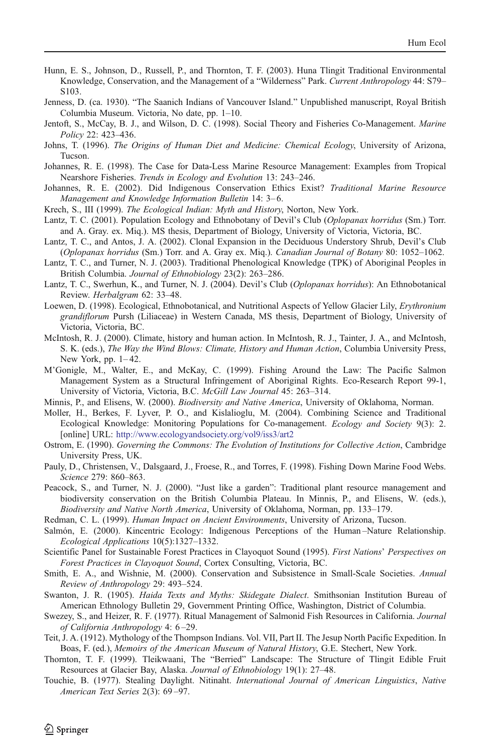- <span id="page-17-0"></span>Hunn, E. S., Johnson, D., Russell, P., and Thornton, T. F. (2003). Huna Tlingit Traditional Environmental Knowledge, Conservation, and the Management of a "Wilderness" Park. Current Anthropology 44: S79– S103.
- Jenness, D. (ca. 1930). "The Saanich Indians of Vancouver Island." Unpublished manuscript, Royal British Columbia Museum. Victoria, No date, pp. 1–10.
- Jentoft, S., McCay, B. J., and Wilson, D. C. (1998). Social Theory and Fisheries Co-Management. Marine Policy 22: 423–436.
- Johns, T. (1996). The Origins of Human Diet and Medicine: Chemical Ecology, University of Arizona, Tucson.
- Johannes, R. E. (1998). The Case for Data-Less Marine Resource Management: Examples from Tropical Nearshore Fisheries. Trends in Ecology and Evolution 13: 243–246.
- Johannes, R. E. (2002). Did Indigenous Conservation Ethics Exist? Traditional Marine Resource Management and Knowledge Information Bulletin 14: 3-6.
- Krech, S., III (1999). The Ecological Indian: Myth and History, Norton, New York.
- Lantz, T. C. (2001). Population Ecology and Ethnobotany of Devil's Club (*Oplopanax horridus* (Sm.) Torr. and A. Gray. ex. Miq.). MS thesis, Department of Biology, University of Victoria, Victoria, BC.
- Lantz, T. C., and Antos, J. A. (2002). Clonal Expansion in the Deciduous Understory Shrub, Devil's Club (Oplopanax horridus (Sm.) Torr. and A. Gray ex. Miq.). Canadian Journal of Botany 80: 1052–1062.
- Lantz, T. C., and Turner, N. J. (2003). Traditional Phenological Knowledge (TPK) of Aboriginal Peoples in British Columbia. Journal of Ethnobiology 23(2): 263–286.
- Lantz, T. C., Swerhun, K., and Turner, N. J. (2004). Devil's Club (Oplopanax horridus): An Ethnobotanical Review. Herbalgram 62: 33–48.
- Loewen, D. (1998). Ecological, Ethnobotanical, and Nutritional Aspects of Yellow Glacier Lily, *Erythronium* grandiflorum Pursh (Liliaceae) in Western Canada, MS thesis, Department of Biology, University of Victoria, Victoria, BC.
- McIntosh, R. J. (2000). Climate, history and human action. In McIntosh, R. J., Tainter, J. A., and McIntosh, S. K. (eds.), The Way the Wind Blows: Climate, History and Human Action, Columbia University Press, New York, pp. 1– 42.
- M\_Gonigle, M., Walter, E., and McKay, C. (1999). Fishing Around the Law: The Pacific Salmon Management System as a Structural Infringement of Aboriginal Rights. Eco-Research Report 99-1, University of Victoria, Victoria, B.C. McGill Law Journal 45: 263-314.
- Minnis, P., and Elisens, W. (2000). Biodiversity and Native America, University of Oklahoma, Norman.
- Moller, H., Berkes, F. Lyver, P. O., and Kislalioglu, M. (2004). Combining Science and Traditional Ecological Knowledge: Monitoring Populations for Co-management. Ecology and Society 9(3): 2. [online] URL: <http://www.ecologyandsociety.org/vol9/iss3/art2>
- Ostrom, E. (1990). Governing the Commons: The Evolution of Institutions for Collective Action, Cambridge University Press, UK.
- Pauly, D., Christensen, V., Dalsgaard, J., Froese, R., and Torres, F. (1998). Fishing Down Marine Food Webs. Science 279: 860–863.
- Peacock, S., and Turner, N. J. (2000). "Just like a garden": Traditional plant resource management and biodiversity conservation on the British Columbia Plateau. In Minnis, P., and Elisens, W. (eds.), Biodiversity and Native North America, University of Oklahoma, Norman, pp. 133–179.
- Redman, C. L. (1999). Human Impact on Ancient Environments, University of Arizona, Tucson.
- Salmón, E. (2000). Kincentric Ecology: Indigenous Perceptions of the Human –Nature Relationship. Ecological Applications 10(5):1327–1332.
- Scientific Panel for Sustainable Forest Practices in Clayoquot Sound (1995). First Nations' Perspectives on Forest Practices in Clayoquot Sound, Cortex Consulting, Victoria, BC.
- Smith, E. A., and Wishnie, M. (2000). Conservation and Subsistence in Small-Scale Societies. Annual Review of Anthropology 29: 493–524.
- Swanton, J. R. (1905). Haida Texts and Myths: Skidegate Dialect. Smithsonian Institution Bureau of American Ethnology Bulletin 29, Government Printing Office, Washington, District of Columbia.
- Swezey, S., and Heizer, R. F. (1977). Ritual Management of Salmonid Fish Resources in California. Journal of California Anthropology 4: 6 –29.
- Teit, J. A. (1912). Mythology of the Thompson Indians. Vol. VII, Part II. The Jesup North Pacific Expedition. In Boas, F. (ed.), Memoirs of the American Museum of Natural History, G.E. Stechert, New York.
- Thornton, T. F. (1999). Tleikwaani, The "Berried" Landscape: The Structure of Tlingit Edible Fruit Resources at Glacier Bay, Alaska. Journal of Ethnobiology 19(1): 27–48.
- Touchie, B. (1977). Stealing Daylight. Nitinaht. International Journal of American Linguistics, Native American Text Series 2(3): 69 –97.